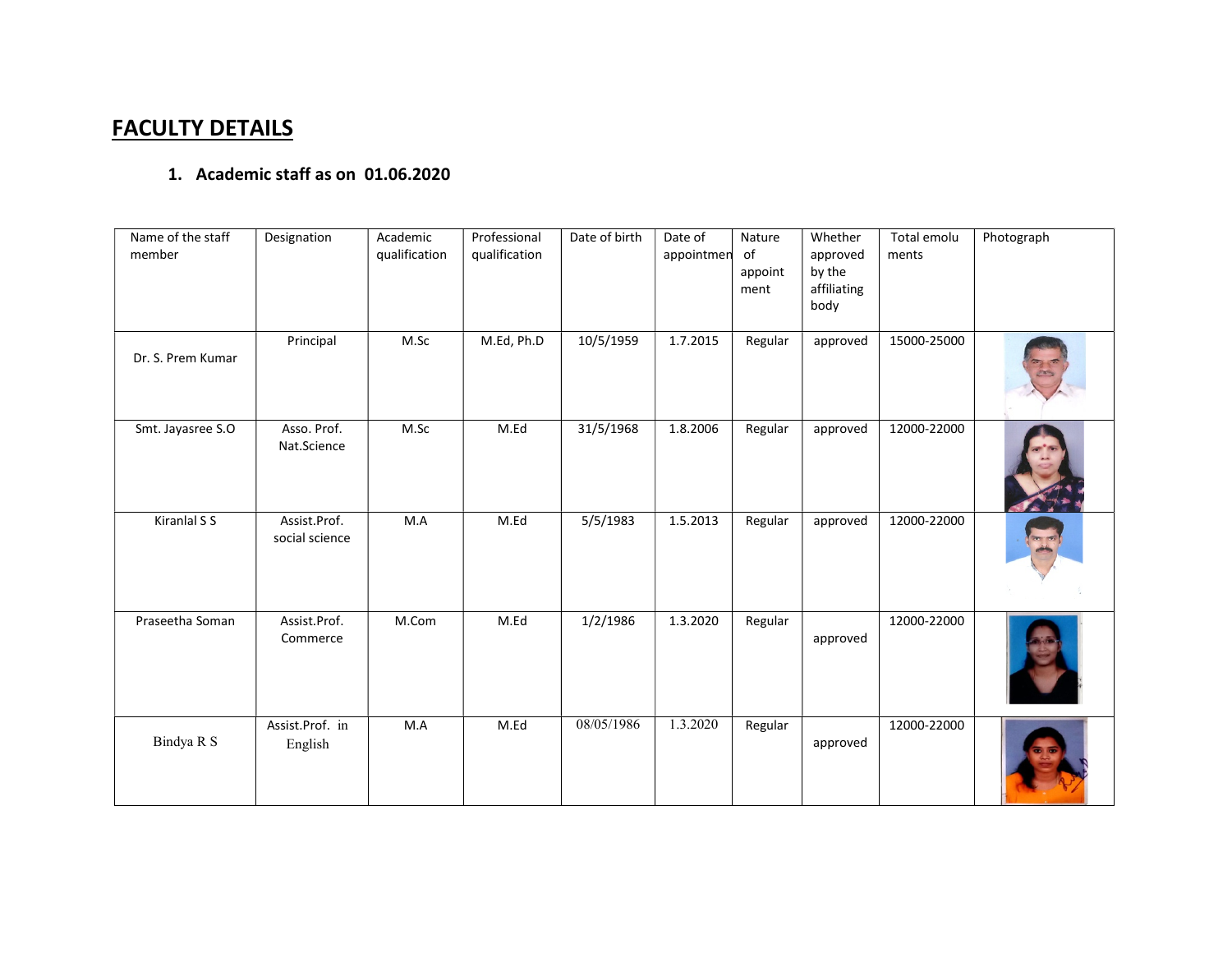## FACULTY DETAILS

## 1. Academic staff as on 01.06.2020

| Name of the staff<br>member | Designation                    | Academic<br>qualification | Professional<br>qualification | Date of birth | Date of<br>appointmen | Nature<br>of<br>appoint<br>ment | Whether<br>approved<br>by the<br>affiliating<br>body | Total emolu<br>ments | Photograph |
|-----------------------------|--------------------------------|---------------------------|-------------------------------|---------------|-----------------------|---------------------------------|------------------------------------------------------|----------------------|------------|
| Dr. S. Prem Kumar           | Principal                      | M.Sc                      | M.Ed, Ph.D                    | 10/5/1959     | 1.7.2015              | Regular                         | approved                                             | 15000-25000          |            |
| Smt. Jayasree S.O           | Asso. Prof.<br>Nat.Science     | M.Sc                      | M.Ed                          | 31/5/1968     | 1.8.2006              | Regular                         | approved                                             | 12000-22000          |            |
| Kiranlal S S                | Assist.Prof.<br>social science | M.A                       | M.Ed                          | 5/5/1983      | 1.5.2013              | Regular                         | approved                                             | 12000-22000          |            |
| Praseetha Soman             | Assist.Prof.<br>Commerce       | M.Com                     | M.Ed                          | 1/2/1986      | 1.3.2020              | Regular                         | approved                                             | 12000-22000          |            |
| Bindya R S                  | Assist.Prof. in<br>English     | M.A                       | M.Ed                          | 08/05/1986    | 1.3.2020              | Regular                         | approved                                             | 12000-22000          |            |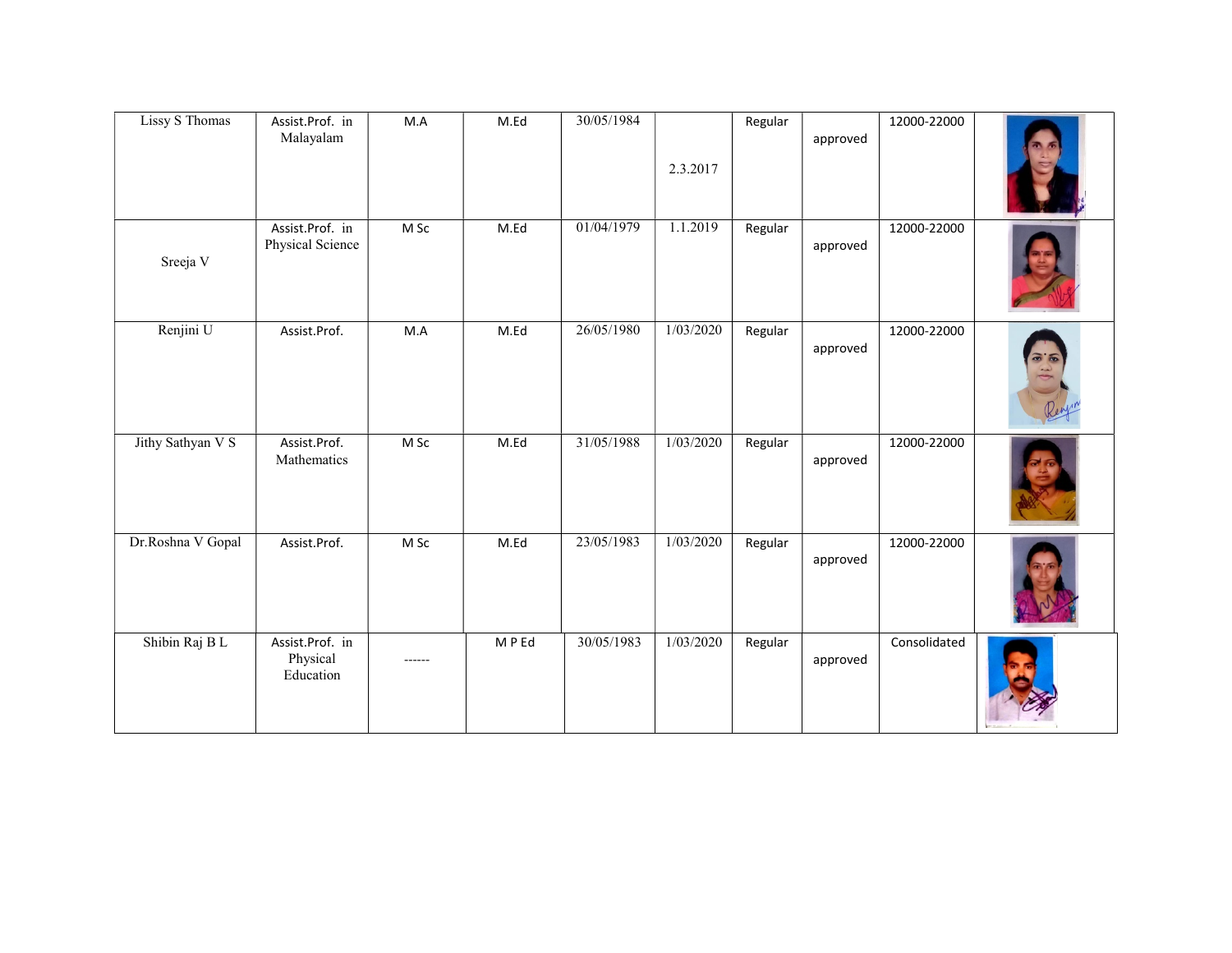| <b>Lissy S Thomas</b> | Assist.Prof. in<br>Malayalam             | $M.A$  | M.Ed  | 30/05/1984 | 2.3.2017  | Regular | approved | 12000-22000  |                               |
|-----------------------|------------------------------------------|--------|-------|------------|-----------|---------|----------|--------------|-------------------------------|
| Sreeja V              | Assist.Prof. in<br>Physical Science      | M Sc   | M.Ed  | 01/04/1979 | 1.1.2019  | Regular | approved | 12000-22000  |                               |
| Renjini U             | Assist.Prof.                             | M.A    | M.Ed  | 26/05/1980 | 1/03/2020 | Regular | approved | 12000-22000  | $\mathbf{r}$<br>$\mathcal{F}$ |
| Jithy Sathyan V S     | Assist.Prof.<br>Mathematics              | $M$ Sc | M.Ed  | 31/05/1988 | 1/03/2020 | Regular | approved | 12000-22000  |                               |
| Dr.Roshna V Gopal     | Assist.Prof.                             | M Sc   | M.Ed  | 23/05/1983 | 1/03/2020 | Regular | approved | 12000-22000  |                               |
| Shibin Raj BL         | Assist.Prof. in<br>Physical<br>Education | ------ | MP Ed | 30/05/1983 | 1/03/2020 | Regular | approved | Consolidated |                               |